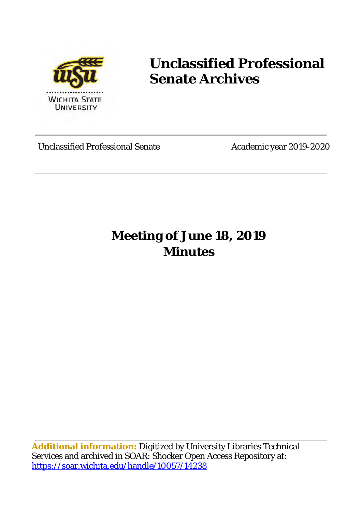

# **Unclassified Professional Senate Archives**

Unclassified Professional Senate Academic year 2019-2020

## **Meeting of June 18, 2019 Minutes**

**Additional information:** Digitized by University Libraries Technical Services and archived in SOAR: Shocker Open Access Repository at: <https://soar.wichita.edu/handle/10057/14238>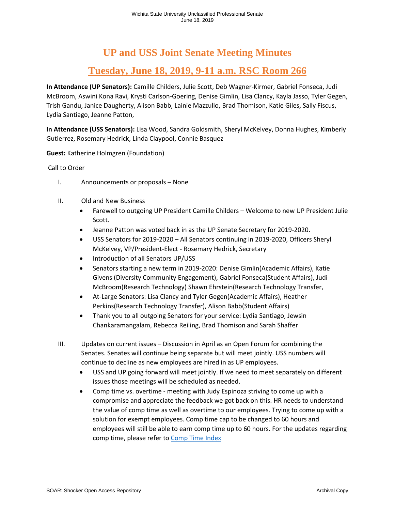### **UP and USS Joint Senate Meeting Minutes**

### **Tuesday, June 18, 2019, 9-11 a.m. RSC Room 266**

**In Attendance (UP Senators):** Camille Childers, Julie Scott, Deb Wagner-Kirmer, Gabriel Fonseca, Judi McBroom, Aswini Kona Ravi, Krysti Carlson-Goering, Denise Gimlin, Lisa Clancy, Kayla Jasso, Tyler Gegen, Trish Gandu, Janice Daugherty, Alison Babb, Lainie Mazzullo, Brad Thomison, Katie Giles, Sally Fiscus, Lydia Santiago, Jeanne Patton,

**In Attendance (USS Senators):** Lisa Wood, Sandra Goldsmith, Sheryl McKelvey, Donna Hughes, Kimberly Gutierrez, Rosemary Hedrick, Linda Claypool, Connie Basquez

**Guest:** Katherine Holmgren (Foundation)

#### Call to Order

- I. Announcements or proposals None
- II. Old and New Business
	- Farewell to outgoing UP President Camille Childers Welcome to new UP President Julie Scott.
	- Jeanne Patton was voted back in as the UP Senate Secretary for 2019-2020.
	- USS Senators for 2019-2020 All Senators continuing in 2019-2020, Officers Sheryl McKelvey, VP/President-Elect - Rosemary Hedrick, Secretary
	- Introduction of all Senators UP/USS
	- Senators starting a new term in 2019-2020: Denise Gimlin(Academic Affairs), Katie Givens (Diversity Community Engagement), Gabriel Fonseca(Student Affairs), Judi McBroom(Research Technology) Shawn Ehrstein(Research Technology Transfer,
	- At-Large Senators: Lisa Clancy and Tyler Gegen(Academic Affairs), Heather Perkins(Research Technology Transfer), Alison Babb(Student Affairs)
	- Thank you to all outgoing Senators for your service: Lydia Santiago, Jewsin Chankaramangalam, Rebecca Reiling, Brad Thomison and Sarah Shaffer
- III. Updates on current issues Discussion in April as an Open Forum for combining the Senates. Senates will continue being separate but will meet jointly. USS numbers will continue to decline as new employees are hired in as UP employees.
	- USS and UP going forward will meet jointly. If we need to meet separately on different issues those meetings will be scheduled as needed.
	- Comp time vs. overtime meeting with Judy Espinoza striving to come up with a compromise and appreciate the feedback we got back on this. HR needs to understand the value of comp time as well as overtime to our employees. Trying to come up with a solution for exempt employees. Comp time cap to be changed to 60 hours and employees will still be able to earn comp time up to 60 hours. For the updates regarding comp time, please refer to [Comp Time Index](https://www.wichita.edu/services/humanresources/Service_Center/CompTime/index.php)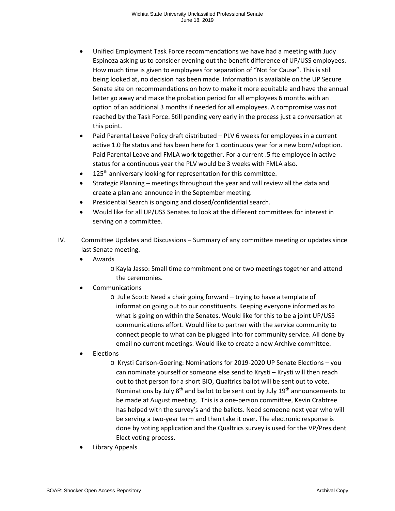- Unified Employment Task Force recommendations we have had a meeting with Judy Espinoza asking us to consider evening out the benefit difference of UP/USS employees. How much time is given to employees for separation of "Not for Cause". This is still being looked at, no decision has been made. Information is available on the UP Secure Senate site on recommendations on how to make it more equitable and have the annual letter go away and make the probation period for all employees 6 months with an option of an additional 3 months if needed for all employees. A compromise was not reached by the Task Force. Still pending very early in the process just a conversation at this point.
- Paid Parental Leave Policy draft distributed PLV 6 weeks for employees in a current active 1.0 fte status and has been here for 1 continuous year for a new born/adoption. Paid Parental Leave and FMLA work together. For a current .5 fte employee in active status for a continuous year the PLV would be 3 weeks with FMLA also.
- $\bullet$  125<sup>th</sup> anniversary looking for representation for this committee.
- Strategic Planning meetings throughout the year and will review all the data and create a plan and announce in the September meeting.
- Presidential Search is ongoing and closed/confidential search.
- Would like for all UP/USS Senates to look at the different committees for interest in serving on a committee.
- IV. Committee Updates and Discussions Summary of any committee meeting or updates since last Senate meeting.
	- Awards
		- o Kayla Jasso: Small time commitment one or two meetings together and attend the ceremonies.
	- **Communications** 
		- o Julie Scott: Need a chair going forward trying to have a template of information going out to our constituents. Keeping everyone informed as to what is going on within the Senates. Would like for this to be a joint UP/USS communications effort. Would like to partner with the service community to connect people to what can be plugged into for community service. All done by email no current meetings. Would like to create a new Archive committee.
	- **Elections** 
		- o Krysti Carlson-Goering: Nominations for 2019-2020 UP Senate Elections you can nominate yourself or someone else send to Krysti – Krysti will then reach out to that person for a short BIO, Qualtrics ballot will be sent out to vote. Nominations by July  $8<sup>th</sup>$  and ballot to be sent out by July  $19<sup>th</sup>$  announcements to be made at August meeting. This is a one-person committee, Kevin Crabtree has helped with the survey's and the ballots. Need someone next year who will be serving a two-year term and then take it over. The electronic response is done by voting application and the Qualtrics survey is used for the VP/President Elect voting process.
	- Library Appeals